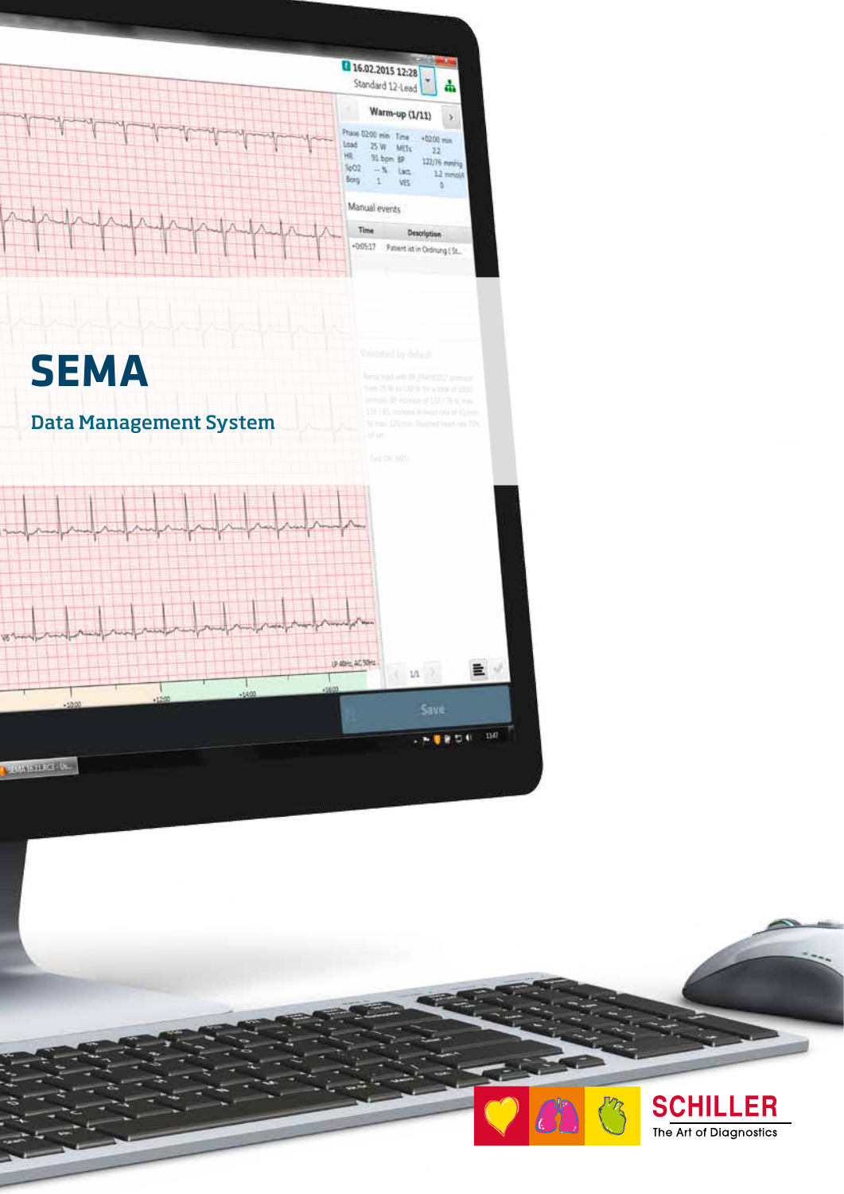

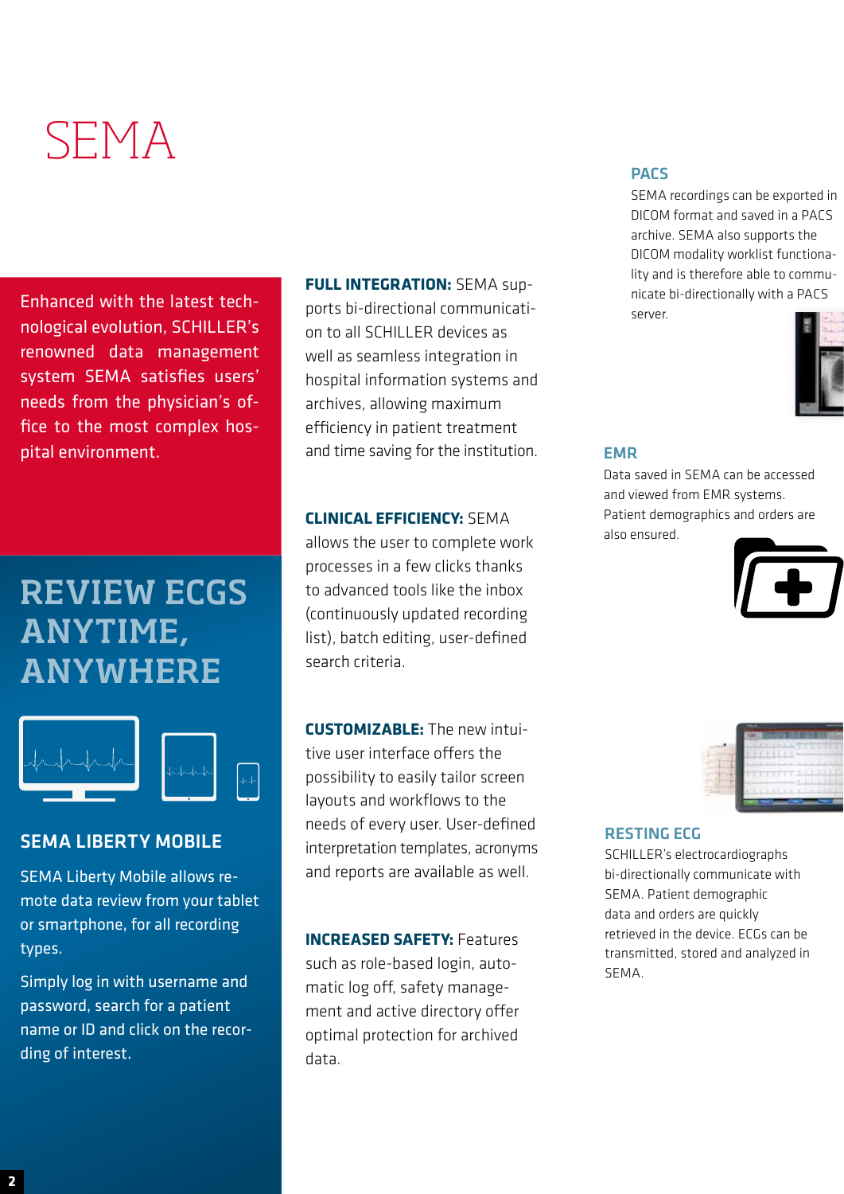# SEMA

Enhanced with the latest technological evolution, SCHILLER's renowned data management system SEMA satisfies users' needs from the physician's office to the most complex hospital environment.

## REVIEW ECGS ANYTIME, ANYWHERE



#### SEMA LIBERTY MOBILE

SEMA Liberty Mobile allows remote data review from your tablet or smartphone, for all recording types.

Simply log in with username and password, search for a patient name or ID and click on the recording of interest.

**FULL INTEGRATION:** SEMA supports bi-directional communication to all SCHILLER devices as

well as seamless integration in hospital information systems and archives, allowing maximum efficiency in patient treatment and time saving for the institution.

#### **CLINICAL EFFICIENCY:** SEMA

allows the user to complete work processes in a few clicks thanks to advanced tools like the inbox (continuously updated recording list), batch editing, user-defined search criteria.

**CUSTOMIZABLE:** The new intuitive user interface offers the possibility to easily tailor screen layouts and workflows to the needs of every user. User-defined interpretation templates, acronyms and reports are available as well.

**INCREASED SAFETY:** Features such as role-based login, automatic log off, safety management and active directory offer optimal protection for archived data.

#### PACS

SEMA recordings can be exported in DICOM format and saved in a PACS archive. SEMA also supports the DICOM modality worklist functionality and is therefore able to communicate bi-directionally with a PACS server.



#### EMR

Data saved in SEMA can be accessed and viewed from EMR systems. Patient demographics and orders are also ensured.





#### RESTING ECG

SCHILLER's electrocardiographs bi-directionally communicate with SEMA. Patient demographic data and orders are quickly retrieved in the device. ECGs can be transmitted, stored and analyzed in **SEMA**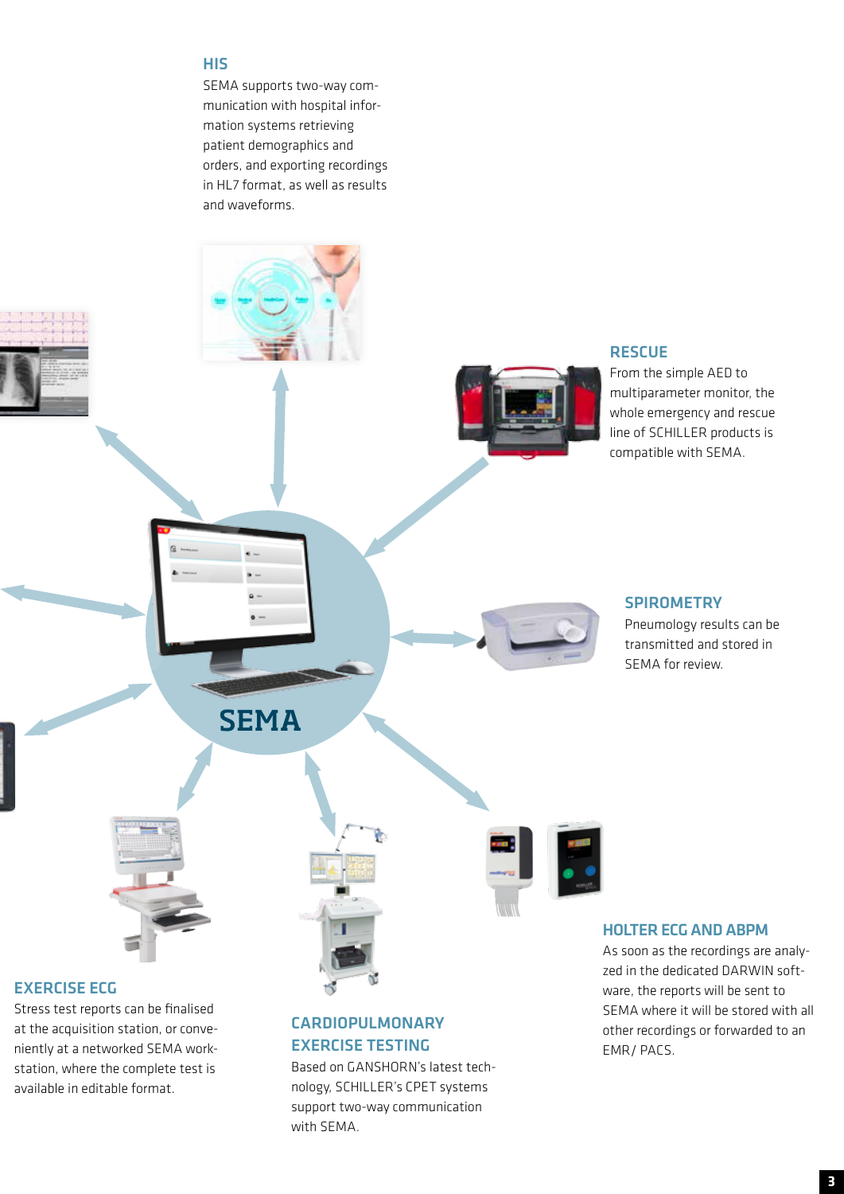#### HIS

SEMA supports two-way communication with hospital information systems retrieving patient demographics and orders, and exporting recordings in HL7 format, as well as results and waveforms.



at the acquisition station, or conveniently at a networked SEMA workstation, where the complete test is available in editable format.

### CARDIOPULMONARY EXERCISE TESTING

Based on GANSHORN's latest technology, SCHILLER's CPET systems support two-way communication with SEMA.

other recordings or forwarded to an

EMR/ PACS.